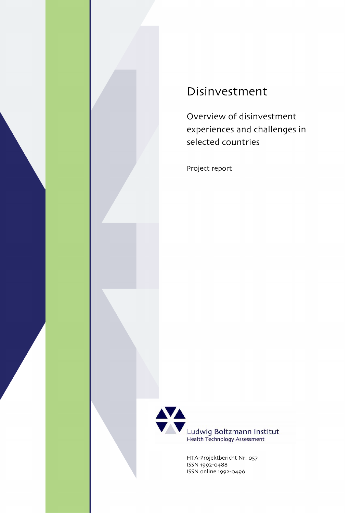

# Disinvestment

Overview of disinvestment experiences and challenges in selected countries

Project report



Ludwig Boltzmann Institut<br>Health Technology Assessment

HTA-Projektbericht Nr: 057 ISSN 1992-0488 ISSN online 1992-0496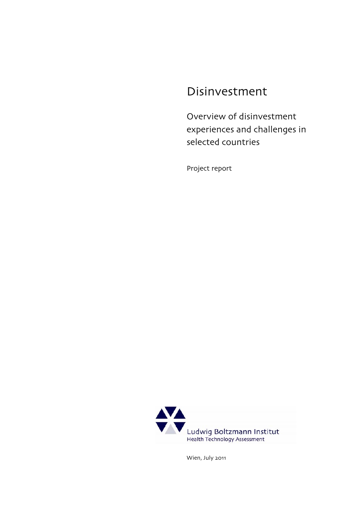# Disinvestment

Overview of disinvestment experiences and challenges in selected countries

Project report

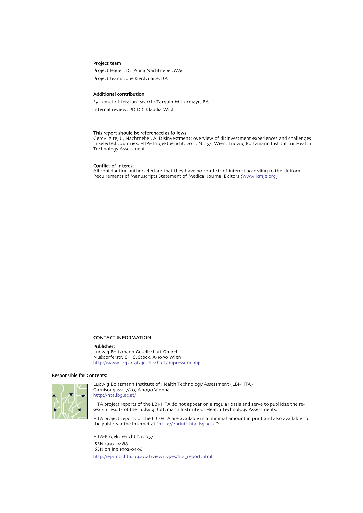#### Project team

Project leader: Dr. Anna Nachtnebel, MSc Project team: Jone Gerdvilaite, BA

#### Additional contribution

Systematic literature search: Tarquin Mittermayr, BA Internal review: PD DR. Claudia Wild

#### This report should be referenced as follows:

Gerdvilaite, J., Nachtnebel, A. Disinvestment: overview of disinvestment experiences and challenges in selected countries. HTA- Projektbericht. 2011; Nr. 57. Wien: Ludwig Boltzmann Institut für Health Technology Assessment.

#### Conflict of Interest

All contributing authors declare that they have no conflicts of interest according to the Uniform Requirements of Manuscripts Statement of Medical Journal Editors (www.icmje.org)

#### CONTACT INFORMATION

#### Publisher:

Ludwig Boltzmann Gesellschaft GmbH Nussdorferstr. 64, 6. Stock, A-1090 Wien http://www.lbg.ac.at/gesellschaft/impressum.php

#### Responsible for Contents:



Ludwig Boltzmann Institute of Health Technology Assessment (LBI-HTA) Garnisongasse 7/20, A-1090 Vienna http://hta.lbg.ac.at/

HTA project reports of the LBI-HTA do not appear on a regular basis and serve to publicize the research results of the Ludwig Boltzmann Institute of Health Technology Assessments.

HTA project reports of the LBI-HTA are available in a minimal amount in print and also available to the public via the Internet at "http://eprints.hta.lbg.ac.at":

HTA-Projektbericht Nr: 057 ISSN 1992-0488 ISSN online 1992-0496 [http://eprints.hta.lbg.ac.at/view/types/hta\\_report.html](http://eprints.hta.lbg.ac.at/view/types/hta_report.html)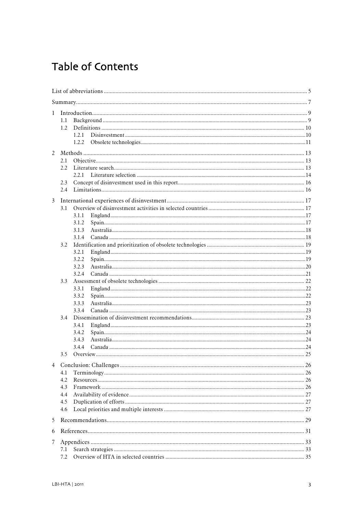# Table of Contents

| $\mathbf{1}$ |            |       |  |  |
|--------------|------------|-------|--|--|
|              | 1.1        |       |  |  |
|              | 1.2        |       |  |  |
|              |            | 1.2.1 |  |  |
|              |            | 1.2.2 |  |  |
|              |            |       |  |  |
|              | 2.1        |       |  |  |
|              | 2.2.       |       |  |  |
|              |            | 2.21  |  |  |
|              | 2.3        |       |  |  |
|              | 2.4        |       |  |  |
|              |            |       |  |  |
| 3            |            |       |  |  |
|              | 3.1        |       |  |  |
|              |            | 3.1.1 |  |  |
|              |            | 3.1.2 |  |  |
|              |            | 3.1.3 |  |  |
|              | 3.2        | 3.1.4 |  |  |
|              |            | 3.2.1 |  |  |
|              |            | 3.2.2 |  |  |
|              |            | 3.2.3 |  |  |
|              |            | 3.2.4 |  |  |
|              | 3.3        |       |  |  |
|              |            | 3.3.1 |  |  |
|              |            | 3.3.2 |  |  |
|              |            | 3.3.3 |  |  |
|              |            | 3.3.4 |  |  |
|              | 3.4        |       |  |  |
|              |            | 3.4.1 |  |  |
|              |            | 3.4.2 |  |  |
|              |            | 3.4.3 |  |  |
|              |            | 3.4.4 |  |  |
|              | 3.5        |       |  |  |
|              |            |       |  |  |
|              |            |       |  |  |
| 4.1          |            |       |  |  |
|              | 4.2        |       |  |  |
|              | 4.3        |       |  |  |
|              | 4.4<br>4.5 |       |  |  |
|              | 4.6        |       |  |  |
|              |            |       |  |  |
| 5            |            |       |  |  |
| 6            |            |       |  |  |
| 7            |            |       |  |  |
|              | 7.1        |       |  |  |
|              | 7.2        |       |  |  |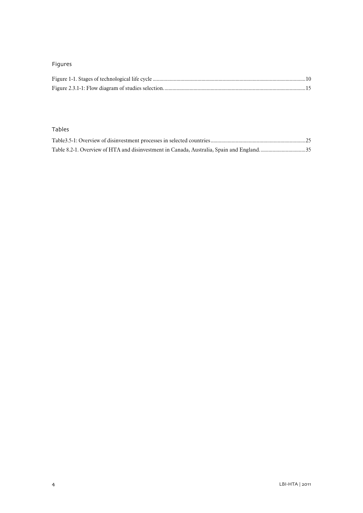### Figures

### Tables

| Table 8.2-1. Overview of HTA and disinvestment in Canada, Australia, Spain and England35 |  |
|------------------------------------------------------------------------------------------|--|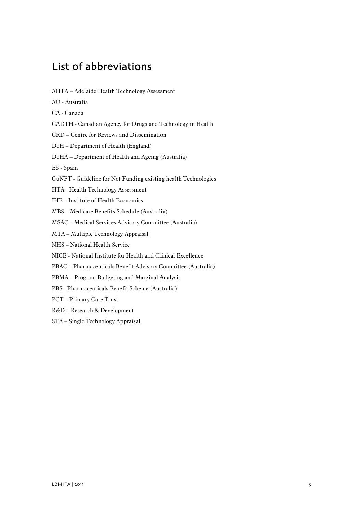# <span id="page-6-0"></span>List of abbreviations

AHTA – Adelaide Health Technology Assessment AU - Australia CA - Canada CADTH - Canadian Agency for Drugs and Technology in Health CRD – Centre for Reviews and Dissemination DoH – Department of Health (England) DoHA – Department of Health and Ageing (Australia) ES - Spain GuNFT - Guideline for Not Funding existing health Technologies HTA - Health Technology Assessment IHE – Institute of Health Economics MBS – Medicare Benefits Schedule (Australia) MSAC – Medical Services Advisory Committee (Australia) MTA – Multiple Technology Appraisal NHS – National Health Service NICE - National Institute for Health and Clinical Excellence PBAC – Pharmaceuticals Benefit Advisory Committee (Australia) PBMA – Program Budgeting and Marginal Analysis PBS - Pharmaceuticals Benefit Scheme (Australia) PCT – Primary Care Trust R&D – Research & Development STA – Single Technology Appraisal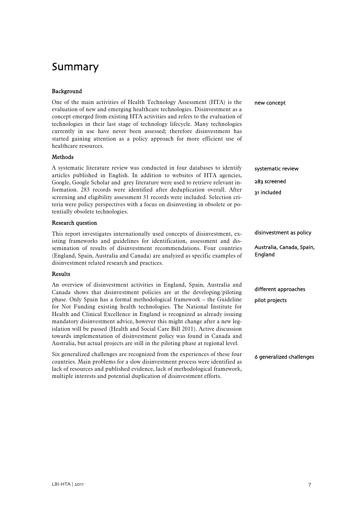# <span id="page-8-0"></span>Summary

#### Background

| Dackgluulu                                                                                                                                                                                                                                                                                                                                                                                                                                                                                                                                                                                                                                                                                                             |                                                                 |
|------------------------------------------------------------------------------------------------------------------------------------------------------------------------------------------------------------------------------------------------------------------------------------------------------------------------------------------------------------------------------------------------------------------------------------------------------------------------------------------------------------------------------------------------------------------------------------------------------------------------------------------------------------------------------------------------------------------------|-----------------------------------------------------------------|
| One of the main activities of Health Technology Assessment (HTA) is the<br>evaluation of new and emerging healthcare technologies. Disinvestment as a<br>concept emerged from existing HTA activities and refers to the evaluation of<br>technologies in their last stage of technology lifecycle. Many technologies<br>currently in use have never been assessed; therefore disinvestment has<br>started gaining attention as a policy approach for more efficient use of<br>healthcare resources.                                                                                                                                                                                                                    | new concept                                                     |
| Methods                                                                                                                                                                                                                                                                                                                                                                                                                                                                                                                                                                                                                                                                                                                |                                                                 |
| A systematic literature review was conducted in four databases to identify<br>articles published in English. In addition to websites of HTA agencies,<br>Google, Google Scholar and grey literature were used to retrieve relevant in-<br>formation. 283 records were identified after deduplication overall. After<br>screening and eligibility assessment 31 records were included. Selection cri-<br>teria were policy perspectives with a focus on disinvesting in obsolete or po-<br>tentially obsolete technologies.                                                                                                                                                                                             | systematic review<br>283 screened<br>31 included                |
| <b>Research question</b>                                                                                                                                                                                                                                                                                                                                                                                                                                                                                                                                                                                                                                                                                               |                                                                 |
| This report investigates internationally used concepts of disinvestment, ex-<br>isting frameworks and guidelines for identification, assessment and dis-<br>semination of results of disinvestment recommendations. Four countries<br>(England, Spain, Australia and Canada) are analyzed as specific examples of<br>disinvestment related research and practices.                                                                                                                                                                                                                                                                                                                                                     | disinvestment as policy<br>Australia, Canada, Spain,<br>England |
| Results                                                                                                                                                                                                                                                                                                                                                                                                                                                                                                                                                                                                                                                                                                                |                                                                 |
| An overview of disinvestment activities in England, Spain, Australia and<br>Canada shows that disinvestment policies are at the developing/piloting<br>phase. Only Spain has a formal methodological framework - the Guideline<br>for Not Funding existing health technologies. The National Institute for<br>Health and Clinical Excellence in England is recognized as already issuing<br>mandatory disinvestment advice, however this might change after a new leg-<br>islation will be passed (Health and Social Care Bill 2011). Active discussion<br>towards implementation of disinvestment policy was found in Canada and<br>Australia, but actual projects are still in the piloting phase at regional level. | different approaches<br>pilot projects                          |
| Six generalized challenges are recognized from the experiences of these four<br>countries. Main problems for a slow disinvestment process were identified as<br>lack of resources and published evidence, lack of methodological framework,                                                                                                                                                                                                                                                                                                                                                                                                                                                                            | 6 generalized challenges                                        |

multiple interests and potential duplication of disinvestment efforts.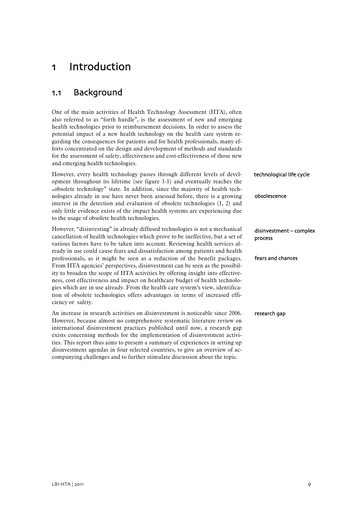## <span id="page-10-0"></span>1 Introduction

## <span id="page-10-1"></span>1.1 Background

One of the main activities of Health Technology Assessment (HTA), often also referred to as "forth hurdle", is the assessment of new and emerging health technologies prior to reimbursement decisions. In order to assess the potential impact of a new health technology on the health care system regarding the consequences for patients and for health professionals, many efforts concentrated on the design and development of methods and standards for the assessment of safety, effectiveness and cost-effectiveness of those new and emerging health technologies.

However, every health technology passes through different levels of development throughout its lifetime (see figure 1-1) and eventually reaches the "obsolete technology" state. In addition, since the majority of health technologies already in use have never been assessed before, there is a growing interest in the detection and evaluation of obsolete technologies [\(1](#page-32-1), [2\)](#page-32-2) and only little evidence exists of the impact health systems are experiencing due to the usage of obsolete health technologies. obsolescence technological life cycle

However, "disinvesting" in already diffused technologies is not a mechanical cancellation of health technologies which prove to be ineffective, but a set of various factors have to be taken into account. Reviewing health services already in use could cause fears and dissatisfaction among patients and health professionals, as it might be seen as a reduction of the benefit packages. From HTA agencies' perspectives, disinvestment can be seen as the possibility to broaden the scope of HTA activities by offering insight into effectiveness, cost effectiveness and impact on healthcare budget of health technologies which are in use already. From the health care system's view, identification of obsolete technologies offers advantages in terms of increased efficiency or safety.

An increase in research activities on disinvestment is noticeable since 2006. However, because almost no comprehensive systematic literature review on international disinvestment practices published until now, a research gap exists concerning methods for the implementation of disinvestment activities. This report thus aims to present a summary of experiences in setting up disinvestment agendas in four selected countries, to give an overview of accompanying challenges and to further stimulate discussion about the topic.

fears and chances disinvestment – complex process

research gap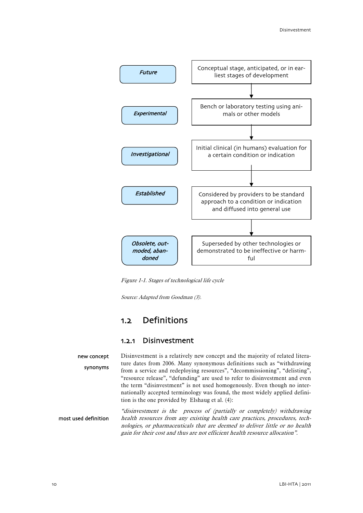

Figure 1-1. Stages of technological life cycle

Source: Adapted from Goodman (3).

### 1.2 Definitions

#### 1.2.1 Disinvestment

<span id="page-11-2"></span><span id="page-11-1"></span><span id="page-11-0"></span>Disinvestment is a relatively new concept and the majority of related literature dates from 2006. Many synonymous definitions such as "withdrawing from a service and redeploying resources", "decommissioning", "delisting", "resource release", "defunding" are used to refer to disinvestment and even the term "disinvestment" is not used homogenously. Even though no internationally accepted terminology was found, the most widely applied definition is the one provided by Elshaug et al. [\(4\)](#page-32-3): new concept synonyms

"disinvestment is the process of (partially or completely) withdrawing health resources from any existing health care practices, procedures, technologies, or pharmaceuticals that are deemed to deliver little or no health gain for their cost and thus are not efficient health resource allocation". most used definition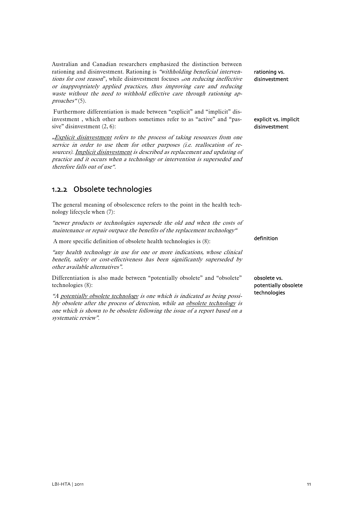Australian and Canadian researchers emphasized the distinction between rationing and disinvestment. Rationing is "withholding beneficial interventions for cost reason", while disinvestment focuses "on reducing ineffective or inappropriately applied practices, thus improving care and reducing waste without the need to withhold effective care through rationing ap-proaches" [\(5\)](#page-32-4).

Furthermore differentiation is made between "explicit" and "implicit" disinvestment , which other authors sometimes refer to as "active" and "passive" disinvestment  $(2, 6)$  $(2, 6)$  $(2, 6)$  $(2, 6)$ :

"Explicit disinvestment refers to the process of taking resources from one service in order to use them for other purposes (i.e. reallocation of resources). Implicit disinvestment is described as replacement and updating of practice and it occurs when a technology or intervention is superseded and therefore falls out of use".

### <span id="page-12-0"></span>1.2.2 Obsolete technologies

The general meaning of obsolescence refers to the point in the health technology lifecycle when ([7\)](#page-32-6):

"newer products or technologies supersede the old and when the costs of maintenance or repair outpace the benefits of the replacement technology"

A more specific definition of obsolete health technologies is ([8\)](#page-32-7):

"any health technology in use for one or more indications, whose clinical benefit, safety or cost-effectiveness has been significantly superseded by other available alternatives".

Differentiation is also made between "potentially obsolete" and "obsolete" technologies [\(8](#page-32-7)):

"A potentially obsolete technology is one which is indicated as being possibly obsolete after the process of detection, while an obsolete technology is one which is shown to be obsolete following the issue of a report based on a systematic review".

rationing vs. disinvestment

explicit vs. implicit disinvestment

definition

obsolete vs. potentially obsolete technologies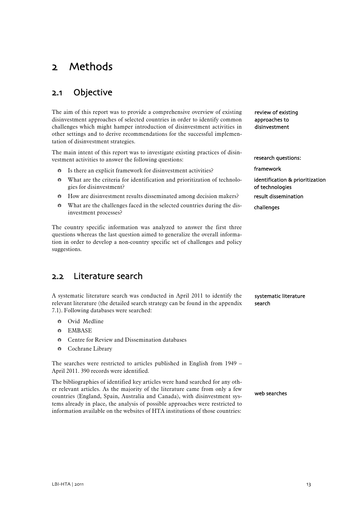# <span id="page-14-0"></span>2 Methods

## <span id="page-14-1"></span>2.1 Objective

The aim of this report was to provide a comprehensive overview of existing disinvestment approaches of selected countries in order to identify common challenges which might hamper introduction of disinvestment activities in other settings and to derive recommendations for the successful implementation of disinvestment strategies.

The main intent of this report was to investigate existing practices of disinvestment activities to answer the following questions:

- $\bullet$  Is there an explicit framework for disinvestment activities?
- What are the criteria for identification and prioritization of technologies for disinvestment?
- How are disinvestment results disseminated among decision makers?
- $\bullet$  What are the challenges faced in the selected countries during the disinvestment processes?

The country specific information was analyzed to answer the first three questions whereas the last question aimed to generalize the overall information in order to develop a non-country specific set of challenges and policy suggestions.

## <span id="page-14-2"></span>2.2 Literature search

| A systematic literature search was conducted in April 2011 to identify the     | systematic lite |
|--------------------------------------------------------------------------------|-----------------|
| relevant literature (the detailed search strategy can be found in the appendix | search          |
| 7.1). Following databases were searched:                                       |                 |

- Ovid Medline
- **<sup>₩</sup>** EMBASE
- Centre for Review and Dissemination databases
- Cochrane Library

The searches were restricted to articles published in English from 1949 – April 2011. 390 records were identified.

The bibliographies of identified key articles were hand searched for any other relevant articles. As the majority of the literature came from only a few countries (England, Spain, Australia and Canada), with disinvestment systems already in place, the analysis of possible approaches were restricted to information available on the websites of HTA institutions of those countries:

review of existing approaches to disinvestment

research questions:

framework

identification & prioritization of technologies result dissemination

challenges

rature

web searches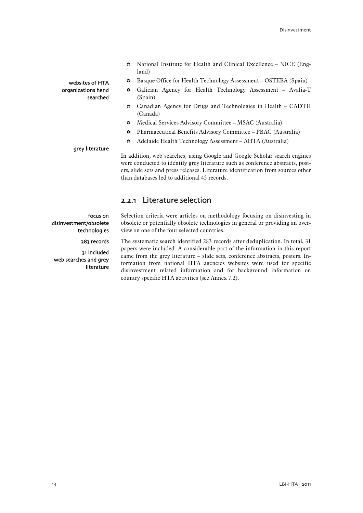- National Institute for Health and Clinical Excellence NICE (England)
- Basque Office for Health Technology Assessment OSTEBA (Spain)
- Galician Agency for Health Technology Assessment Avalia-T (Spain)
- Canadian Agency for Drugs and Technologies in Health CADTH (Canada)
- Medical Services Advisory Committee MSAC (Australia)
- Pharmaceutical Benefits Advisory Committee PBAC (Australia)
- Adelaide Health Technology Assessment AHTA (Australia)

#### grey literature

websites of HTA organizations hand

searched

In addition, web searches, using Google and Google Scholar search engines were conducted to identify grey literature such as conference abstracts, posters, slide sets and press releases. Literature identification from sources other than databases led to additional 45 records.

### 2.2.1 Literature selection

Selection criteria were articles on methodology focusing on disinvesting in obsolete or potentially obsolete technologies in general or providing an overview on one of the four selected countries.

The systematic search identified 283 records after deduplication. In total, 31 papers were included. A considerable part of the information in this report came from the grey literature – slide sets, conference abstracts, posters. Information from national HTA agencies websites were used for specific disinvestment related information and for background information on country specific HTA activities (see Annex 7.2).

<span id="page-15-0"></span>focus on disinvestment/obsolete technologies 283 records

31 included web searches and grey

literature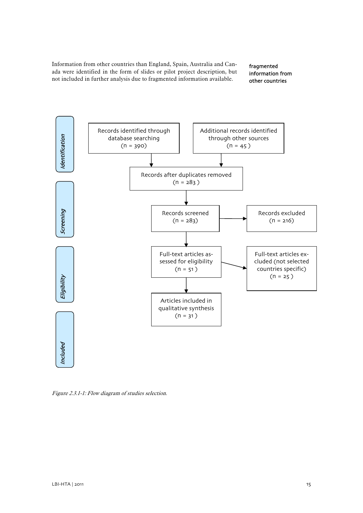Information from other countries than England, Spain, Australia and Canada were identified in the form of slides or pilot project description, but not included in further analysis due to fragmented information available.

fragmented information from other countries



<span id="page-16-0"></span>Figure 2.3.1-1: Flow diagram of studies selection.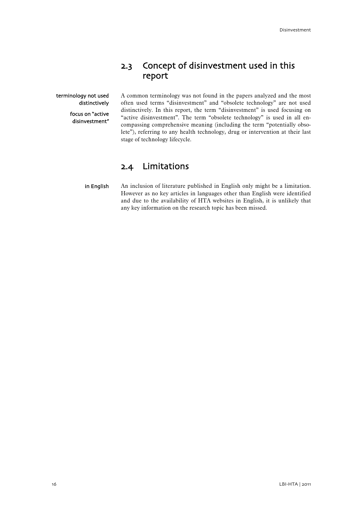## 2.3 Concept of disinvestment used in this report

<span id="page-17-0"></span>terminology not used distinctively

> focus on "active disinvestment"

A common terminology was not found in the papers analyzed and the most often used terms "disinvestment" and "obsolete technology" are not used distinctively. In this report, the term "disinvestment" is used focusing on "active disinvestment". The term "obsolete technology" is used in all encompassing comprehensive meaning (including the term "potentially obsolete"), referring to any health technology, drug or intervention at their last stage of technology lifecycle.

### 2.4 Limitations

<span id="page-17-1"></span>An inclusion of literature published in English only might be a limitation. However as no key articles in languages other than English were identified and due to the availability of HTA websites in English, it is unlikely that any key information on the research topic has been missed. in English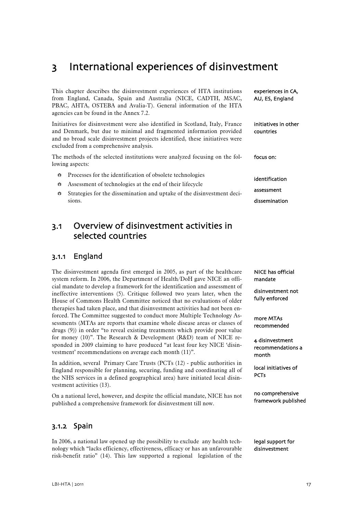## <span id="page-18-0"></span>3 International experiences of disinvestment

|                                                                                                                                                                                                                                                                                                                      | This chapter describes the disinvestment experiences of HTA institutions<br>from England, Canada, Spain and Australia (NICE, CADTH, MSAC,<br>PBAC, AHTA, OSTEBA and Avalia-T). General information of the HTA<br>agencies can be found in the Annex 7.2. | experiences in CA,<br>AU, ES, England |  |
|----------------------------------------------------------------------------------------------------------------------------------------------------------------------------------------------------------------------------------------------------------------------------------------------------------------------|----------------------------------------------------------------------------------------------------------------------------------------------------------------------------------------------------------------------------------------------------------|---------------------------------------|--|
| Initiatives for disinvestment were also identified in Scotland, Italy, France<br>initiatives in other<br>and Denmark, but due to minimal and fragmented information provided<br>countries<br>and no broad scale disinvestment projects identified, these initiatives were<br>excluded from a comprehensive analysis. |                                                                                                                                                                                                                                                          |                                       |  |
|                                                                                                                                                                                                                                                                                                                      | The methods of the selected institutions were analyzed focusing on the fol-<br>lowing aspects:                                                                                                                                                           | focus on:                             |  |
| ₩                                                                                                                                                                                                                                                                                                                    | Processes for the identification of obsolete technologies                                                                                                                                                                                                | identification                        |  |
| ₩                                                                                                                                                                                                                                                                                                                    | Assessment of technologies at the end of their lifecycle                                                                                                                                                                                                 |                                       |  |
| ₩                                                                                                                                                                                                                                                                                                                    | assessment<br>Strategies for the dissemination and uptake of the disinvestment deci-                                                                                                                                                                     |                                       |  |
|                                                                                                                                                                                                                                                                                                                      | sions.                                                                                                                                                                                                                                                   | dissemination                         |  |
|                                                                                                                                                                                                                                                                                                                      |                                                                                                                                                                                                                                                          |                                       |  |

## <span id="page-18-1"></span>3.1 Overview of disinvestment activities in selected countries

### <span id="page-18-2"></span>3.1.1 England

The disinvestment agenda first emerged in 2005, as part of the healthcare system reform. In 2006, the Department of Health/DoH gave NICE an official mandate to develop a framework for the identification and assessment of ineffective interventions [\(5\)](#page-32-4). Critique followed two years later, when the House of Commons Health Committee noticed that no evaluations of older therapies had taken place, and that disinvestment activities had not been enforced. The Committee suggested to conduct more Multiple Technology Assessments (MTAs are reports that examine whole disease areas or classes of drugs ([9](#page-32-8))) in order "to reveal existing treatments which provide poor value for money [\(10\)](#page-32-9)". The Research & Development (R&D) team of NICE responded in 2009 claiming to have produced "at least four key NICE 'disinvestment' recommendations on average each month ([11](#page-32-10))".

In addition, several Primary Care Trusts (PCTs ([12](#page-32-11)) - public authorities in England responsible for planning, securing, funding and coordinating all of the NHS services in a defined geographical area) have initiated local disinvestment activities ([13](#page-32-12)).

On a national level, however, and despite the official mandate, NICE has not published a comprehensive framework for disinvestment till now.

### <span id="page-18-3"></span>3.1.2 Spain

In 2006, a national law opened up the possibility to exclude any health technology which "lacks efficiency, effectiveness, efficacy or has an unfavourable risk-benefit ratio" ([14](#page-32-13)). This law supported a regional legislation of the

NICE has official mandate

disinvestment not fully enforced

more MTAs recommended

4 disinvestment recommendations a month

 local initiatives of **PCTs** 

no comprehensive framework published

legal support for disinvestment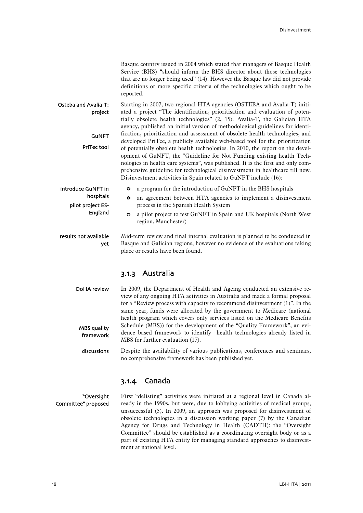|                                 | Basque country issued in 2004 which stated that managers of Basque Health<br>Service (BHS) "should inform the BHS director about those technologies<br>that are no longer being used" (14). However the Basque law did not provide<br>definitions or more specific criteria of the technologies which ought to be<br>reported.                                                                                                                                                |  |  |  |  |
|---------------------------------|-------------------------------------------------------------------------------------------------------------------------------------------------------------------------------------------------------------------------------------------------------------------------------------------------------------------------------------------------------------------------------------------------------------------------------------------------------------------------------|--|--|--|--|
| Osteba and Avalia-T:<br>project | Starting in 2007, two regional HTA agencies (OSTEBA and Avalia-T) initi-<br>ated a project "The identification, prioritisation and evaluation of poten-<br>tially obsolete health technologies" (2, 15). Avalia-T, the Galician HTA<br>agency, published an initial version of methodological guidelines for identi-                                                                                                                                                          |  |  |  |  |
| <b>GUNFT</b>                    | fication, prioritization and assessment of obsolete health technologies, and                                                                                                                                                                                                                                                                                                                                                                                                  |  |  |  |  |
| <b>PriTec tool</b>              | developed PriTec, a publicly available web-based tool for the prioritization<br>of potentially obsolete health technologies. In 2010, the report on the devel-<br>opment of GuNFT, the "Guideline for Not Funding existing health Tech-<br>nologies in health care systems", was published. It is the first and only com-<br>prehensive guideline for technological disinvestment in healthcare till now.<br>Disinvestment activities in Spain related to GuNFT include (16): |  |  |  |  |
| introduce GuNFT in              | a program for the introduction of GuNFT in the BHS hospitals<br>₩                                                                                                                                                                                                                                                                                                                                                                                                             |  |  |  |  |
| hospitals<br>pilot project ES-  | an agreement between HTA agencies to implement a disinvestment<br>₩<br>process in the Spanish Health System                                                                                                                                                                                                                                                                                                                                                                   |  |  |  |  |
| England                         | a pilot project to test GuNFT in Spain and UK hospitals (North West<br>₩<br>region, Manchester)                                                                                                                                                                                                                                                                                                                                                                               |  |  |  |  |
| results not available<br>yet    | Mid-term review and final internal evaluation is planned to be conducted in<br>Basque and Galician regions, however no evidence of the evaluations taking<br>place or results have been found.                                                                                                                                                                                                                                                                                |  |  |  |  |

### 3.1.3 Australia

<span id="page-19-0"></span>

| DoHA review | In 2009, the Department of Health and Ageing conducted an extensive re-        |
|-------------|--------------------------------------------------------------------------------|
|             | view of any ongoing HTA activities in Australia and made a formal proposal     |
|             | for a "Review process with capacity to recommend disinvestment $(1)$ ". In the |
|             | same year, funds were allocated by the government to Medicare (national        |
|             | health program which covers only services listed on the Medicare Benefits      |
| MBS quality | Schedule (MBS)) for the development of the "Quality Framework", an evi-        |
| framework   | dence based framework to identify health technologies already listed in        |
|             | MBS for further evaluation (17).                                               |

Despite the availability of various publications, conferences and seminars, no comprehensive framework has been published yet. discussions

### 3.1.4 Canada

<span id="page-19-1"></span>First "delisting" activities were initiated at a regional level in Canada already in the 1990s, but were, due to lobbying activities of medical groups, unsuccessful [\(5](#page-32-4)). In 2009, an approach was proposed for disinvestment of obsolete technologies in a discussion working paper [\(7\)](#page-32-6) by the Canadian Agency for Drugs and Technology in Health (CADTH): the "Oversight Committee" should be established as a coordinating oversight body or as a part of existing HTA entity for managing standard approaches to disinvestment at national level. "Oversight Committee" proposed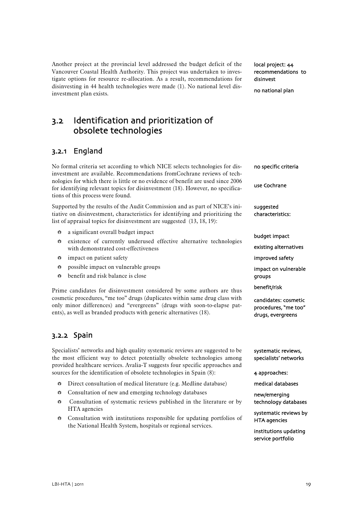Another project at the provincial level addressed the budget deficit of the Vancouver Coastal Health Authority. This project was undertaken to investigate options for resource re-allocation. As a result, recommendations for disinvesting in 44 health technologies were made [\(1](#page-32-1)). No national level disinvestment plan exists.

local project: 44 recommendations to disinvest

no national plan

<span id="page-20-0"></span>3.2 Identification and prioritization of obsolete technologies

### <span id="page-20-1"></span>3.2.1 England

No formal criteria set according to which NICE selects technologies for disinvestment are available. Recommendations fromCochrane reviews of technologies for which there is little or no evidence of benefit are used since 2006 for identifying relevant topics for disinvestment ([18](#page-32-17)). However, no specifications of this process were found.

Supported by the results of the Audit Commission and as part of NICE's initiative on disinvestment, characteristics for identifying and prioritizing the list of appraisal topics for disinvestment are suggested ([13](#page-32-12), [18,](#page-32-17) [19\)](#page-33-0):

- a significant overall budget impact
- existence of currently underused effective alternative technologies with demonstrated cost-effectiveness
- $\div$  impact on patient safety
- $≔$  possible impact on vulnerable groups
- $\dots$  **benefit and risk balance is close**

Prime candidates for disinvestment considered by some authors are thus cosmetic procedures, "me too" drugs (duplicates within same drug class with only minor differences) and "evergreens" (drugs with soon-to-elapse patents), as well as branded products with generic alternatives ([18](#page-32-17)).

### <span id="page-20-2"></span>3.2.2 Spain

Specialists' networks and high quality systematic reviews are suggested to be the most efficient way to detect potentially obsolete technologies among provided healthcare services. Avalia-T suggests four specific approaches and sources for the identification of obsolete technologies in Spain [\(8\)](#page-32-7):

- $\bullet$  Direct consultation of medical literature (e.g. Medline database)
- **Consultation of new and emerging technology databases**
- **Consultation of systematic reviews published in the literature or by** HTA agencies
- **Consultation with institutions responsible for updating portfolios of** the National Health System, hospitals or regional services.

use Cochrane suggested characteristics:

no specific criteria

budget impact

existing alternatives

improved safety

impact on vulnerable groups

benefit/risk

candidates: cosmetic procedures, "me too" drugs, evergreens

systematic reviews, specialists' networks

4 approaches:

medical databases

new/emerging technology databases

systematic reviews by HTA agencies

institutions updating service portfolio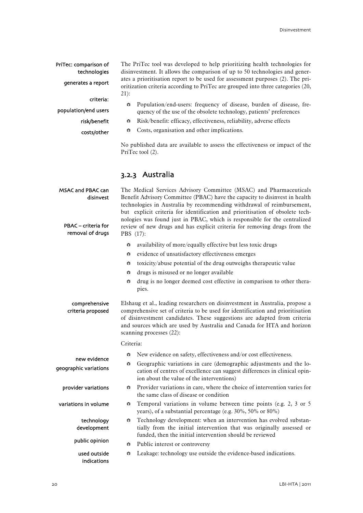<span id="page-21-0"></span>

| PriTec: comparison of<br>technologies                                            | The PriTec tool was developed to help prioritizing health technologies for<br>disinvestment. It allows the comparison of up to 50 technologies and gener-                                                                                                                                                                                                                                                                                                                          |  |  |
|----------------------------------------------------------------------------------|------------------------------------------------------------------------------------------------------------------------------------------------------------------------------------------------------------------------------------------------------------------------------------------------------------------------------------------------------------------------------------------------------------------------------------------------------------------------------------|--|--|
| generates a report                                                               | ates a prioritisation report to be used for assessment purposes (2). The pri-<br>oritization criteria according to PriTec are grouped into three categories (20,<br>$21)$ :                                                                                                                                                                                                                                                                                                        |  |  |
| criteria:<br>population/end users                                                | Population/end-users: frequency of disease, burden of disease, fre-<br>₩<br>quency of the use of the obsolete technology, patients' preferences                                                                                                                                                                                                                                                                                                                                    |  |  |
| risk/benefit                                                                     | Risk/benefit: efficacy, effectiveness, reliability, adverse effects<br>₩                                                                                                                                                                                                                                                                                                                                                                                                           |  |  |
| costs/other                                                                      | Costs, organisation and other implications.<br>$\frac{\Delta \mathbf{V} \Delta}{\mathbf{V}_{\triangle \mathbf{V}}}$                                                                                                                                                                                                                                                                                                                                                                |  |  |
|                                                                                  | No published data are available to assess the effectiveness or impact of the<br>PriTec tool (2).                                                                                                                                                                                                                                                                                                                                                                                   |  |  |
|                                                                                  | 3.2.3 Australia                                                                                                                                                                                                                                                                                                                                                                                                                                                                    |  |  |
| <b>MSAC and PBAC can</b><br>disinvest<br>PBAC - criteria for<br>removal of drugs | The Medical Services Advisory Committee (MSAC) and Pharmaceuticals<br>Benefit Advisory Committee (PBAC) have the capacity to disinvest in health<br>technologies in Australia by recommending withdrawal of reimbursement,<br>but explicit criteria for identification and prioritisation of obsolete tech-<br>nologies was found just in PBAC, which is responsible for the centralized<br>review of new drugs and has explicit criteria for removing drugs from the<br>PBS (17): |  |  |
|                                                                                  | availability of more/equally effective but less toxic drugs<br>₩                                                                                                                                                                                                                                                                                                                                                                                                                   |  |  |
|                                                                                  | evidence of unsatisfactory effectiveness emerges<br>₩                                                                                                                                                                                                                                                                                                                                                                                                                              |  |  |
|                                                                                  | toxicity/abuse potential of the drug outweighs therapeutic value<br>₩                                                                                                                                                                                                                                                                                                                                                                                                              |  |  |
|                                                                                  | drugs is misused or no longer available<br>₩                                                                                                                                                                                                                                                                                                                                                                                                                                       |  |  |
|                                                                                  | drug is no longer deemed cost effective in comparison to other thera-<br>₩<br>pies.                                                                                                                                                                                                                                                                                                                                                                                                |  |  |
| comprehensive<br>criteria proposed                                               | Elshaug et al., leading researchers on disinvestment in Australia, propose a<br>comprehensive set of criteria to be used for identification and prioritisation<br>of disinvestment candidates. These suggestions are adapted from criteria<br>and sources which are used by Australia and Canada for HTA and horizon<br>scanning processes (22):                                                                                                                                   |  |  |
|                                                                                  | Criteria:                                                                                                                                                                                                                                                                                                                                                                                                                                                                          |  |  |
|                                                                                  | New evidence on safety, effectiveness and/or cost effectiveness.<br>$\frac{4\pi}{\sqrt{2}}$                                                                                                                                                                                                                                                                                                                                                                                        |  |  |
| new evidence<br>geographic variations                                            | Geographic variations in care (demographic adjustments and the lo-<br>₩<br>cation of centres of excellence can suggest differences in clinical opin-<br>ion about the value of the interventions)                                                                                                                                                                                                                                                                                  |  |  |
| provider variations                                                              | Provider variations in care, where the choice of intervention varies for<br>₩<br>the same class of disease or condition                                                                                                                                                                                                                                                                                                                                                            |  |  |
| variations in volume                                                             | Temporal variations in volume between time points (e.g. 2, 3 or 5<br>₩<br>years), of a substantial percentage (e.g. 30%, 50% or 80%)                                                                                                                                                                                                                                                                                                                                               |  |  |
| technology<br>development                                                        | Technology development: when an intervention has evolved substan-<br>₩<br>tially from the initial intervention that was originally assessed or<br>funded, then the initial intervention should be reviewed                                                                                                                                                                                                                                                                         |  |  |
| public opinion                                                                   | Public interest or controversy<br>$\frac{\Delta N_{\rm A}}{N_{\rm A}T}$                                                                                                                                                                                                                                                                                                                                                                                                            |  |  |
| used outside<br>indications                                                      | Leakage: technology use outside the evidence-based indications.<br>₩                                                                                                                                                                                                                                                                                                                                                                                                               |  |  |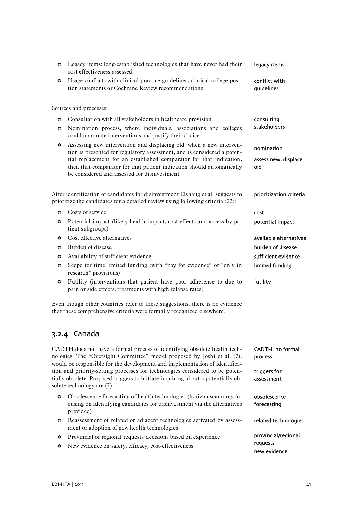<span id="page-22-0"></span>

| ₩                                                               | Legacy items: long-established technologies that have never had their<br>cost effectiveness assessed                                                                                                                               | legacy items                       |  |  |
|-----------------------------------------------------------------|------------------------------------------------------------------------------------------------------------------------------------------------------------------------------------------------------------------------------------|------------------------------------|--|--|
| ₩                                                               | Usage conflicts with clinical practice guidelines, clinical college posi-<br>tion statements or Cochrane Review recommendations.                                                                                                   | conflict with<br>guidelines        |  |  |
|                                                                 | Sources and processes:                                                                                                                                                                                                             |                                    |  |  |
| $\frac{\Delta \mathbf{V}_\Delta}{\Delta \mathbf{V}}$            | Consultation with all stakeholders in healthcare provision                                                                                                                                                                         | consulting                         |  |  |
| ₩                                                               | stakeholders<br>Nomination process, where individuals, associations and colleges<br>could nominate interventions and justify their choice                                                                                          |                                    |  |  |
| ₩                                                               | Assessing new intervention and displacing old: when a new interven-<br>tion is presented for regulatory assessment, and is considered a poten-                                                                                     | nomination                         |  |  |
|                                                                 | tial replacement for an established comparator for that indication,<br>then that comparator for that patient indication should automatically<br>be considered and assessed for disinvestment.                                      | assess new, displace<br>old        |  |  |
|                                                                 | After identification of candidates for disinvestment Elshaug et al. suggests to<br>prioritize the candidates for a detailed review using following criteria (22):                                                                  | prioritization criteria            |  |  |
| ₩                                                               | Costs of service                                                                                                                                                                                                                   | cost                               |  |  |
| ₩                                                               | Potential impact (likely health impact, cost effects and access by pa-<br>potential impact<br>tient subgroups)                                                                                                                     |                                    |  |  |
| ₩                                                               | Cost effective alternatives                                                                                                                                                                                                        | available alternatives             |  |  |
| ₩                                                               | Burden of disease                                                                                                                                                                                                                  | burden of disease                  |  |  |
| ₩                                                               | Availability of sufficient evidence                                                                                                                                                                                                | sufficient evidence                |  |  |
| ₩                                                               | Scope for time limited funding (with "pay for evidence" or "only in<br>research" provisions)                                                                                                                                       | limited funding                    |  |  |
| ₩                                                               | Futility (interventions that patient have poor adherence to due to<br>pain or side effects; treatments with high relapse rates)                                                                                                    | futility                           |  |  |
|                                                                 | Even though other countries refer to these suggestions, there is no evidence<br>that these comprehensive criteria were formally recognized elsewhere.                                                                              |                                    |  |  |
|                                                                 | 3.2.4 Canada                                                                                                                                                                                                                       |                                    |  |  |
|                                                                 | CADTH does not have a formal process of identifying obsolete health tech-<br>nologies. The "Oversight Committee" model proposed by Joshi et al. (7).<br>would be responsible for the development and implementation of identifica- | <b>CADTH: no formal</b><br>process |  |  |
|                                                                 | tion and priority-setting processes for technologies considered to be poten-<br>tially obsolete. Proposed triggers to initiate inquiring about a potentially ob-<br>solete technology are (7):                                     | triggers for<br>assessment         |  |  |
| ₩                                                               | Obsolescence forecasting of health technologies (horizon scanning, fo-<br>cusing on identifying candidates for disinvestment via the alternatives<br>provided)                                                                     | obsolescence<br>forecasting        |  |  |
| ₩                                                               | Reassessment of related or adjacent technologies activated by assess-<br>ment or adoption of new health technologies                                                                                                               | related technologies               |  |  |
| $\frac{\Delta \mathbf{V}_\Delta}{\mathbf{V}_\Delta \mathbf{V}}$ | Provincial or regional requests/decisions based on experience<br>New evidence on safety, efficacy, cost-effectiveness                                                                                                              | provincial/regional<br>requests    |  |  |
| ₩                                                               |                                                                                                                                                                                                                                    | new evidence                       |  |  |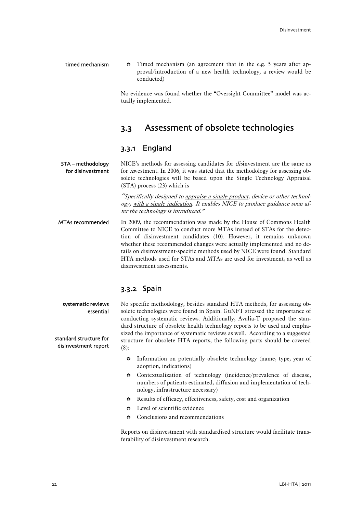- timed mechanism
- $\div$  Timed mechanism (an agreement that in the e.g. 5 years after approval/introduction of a new health technology, a review would be conducted)

No evidence was found whether the "Oversight Committee" model was actually implemented.

## 3.3 Assessment of obsolete technologies

### 3.3.1 England

<span id="page-23-1"></span><span id="page-23-0"></span>NICE's methods for assessing candidates for *dis*investment are the same as for *investment*. In 2006, it was stated that the methodology for assessing obsolete technologies will be based upon the Single Technology Appraisal (STA) process [\(23\)](#page-33-4) which is STA – methodology for disinvestment

> "Specifically designed to appraise a single product, device or other technology, with a single indication. It enables NICE to produce guidance soon after the technology is introduced."

In 2009, the recommendation was made by the House of Commons Health Committee to NICE to conduct more MTAs instead of STAs for the detection of disinvestment candidates [\(10\)](#page-32-9). However, it remains unknown whether these recommended changes were actually implemented and no details on disinvestment-specific methods used by NICE were found. Standard HTA methods used for STAs and MTAs are used for investment, as well as disinvestment assessments. MTAs recommended

### 3.3.2 Spain

<span id="page-23-2"></span>No specific methodology, besides standard HTA methods, for assessing obsolete technologies were found in Spain. GuNFT stressed the importance of conducting systematic reviews. Additionally, Avalia-T proposed the standard structure of obsolete health technology reports to be used and emphasized the importance of systematic reviews as well. According to a suggested structure for obsolete HTA reports, the following parts should be covered ([8\)](#page-32-7): systematic reviews essential disinvestment report

- **Information on potentially obsolete technology (name, type, year of** adoption, indications)
- Contextualization of technology (incidence/prevalence of disease, numbers of patients estimated, diffusion and implementation of technology, infrastructure necessary)
- Results of efficacy, effectiveness, safety, cost and organization
- $\bullet$  Level of scientific evidence
- $\div$  Conclusions and recommendations

Reports on disinvestment with standardised structure would facilitate transferability of disinvestment research.

# standard structure for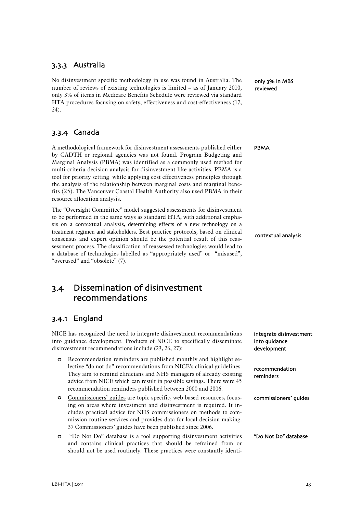### <span id="page-24-0"></span>3.3.3 Australia

No disinvestment specific methodology in use was found in Australia. The number of reviews of existing technologies is limited – as of January 2010, only 3% of items in Medicare Benefits Schedule were reviewed via standard HTA procedures focusing on safety, effectiveness and cost-effectiveness ([17](#page-32-16), [24\)](#page-33-5).

### <span id="page-24-1"></span>3.3.4 Canada

A methodological framework for disinvestment assessments published either by CADTH or regional agencies was not found. Program Budgeting and Marginal Analysis (PBMA) was identified as a commonly used method for multi-criteria decision analysis for disinvestment like activities. PBMA is a tool for priority setting while applying cost effectiveness principles through the analysis of the relationship between marginal costs and marginal benefits ([25](#page-33-6)). The Vancouver Coastal Health Authority also used PBMA in their resource allocation analysis.

The "Oversight Committee" model suggested assessments for disinvestment to be performed in the same ways as standard HTA, with additional emphasis on a contextual analysis, determining effects of a new technology on a treatment regimen and stakeholders. Best practice protocols, based on clinical consensus and expert opinion should be the potential result of this reassessment process. The classification of reassessed technologies would lead to a database of technologies labelled as "appropriately used" or "misused", "overused" and "obsolete" [\(7\)](#page-32-6).

### <span id="page-24-2"></span>3.4 Dissemination of disinvestment recommendations

### <span id="page-24-3"></span>3.4.1 England

NICE has recognized the need to integrate disinvestment recommendations into guidance development. Products of NICE to specifically disseminate disinvestment recommendations include ([23](#page-33-4), [26,](#page-33-7) [27\)](#page-33-8):

- $\bullet$  Recommendation reminders are published monthly and highlight selective "do not do" recommendations from NICE's clinical guidelines. They aim to remind clinicians and NHS managers of already existing advice from NICE which can result in possible savings. There were 45 recommendation reminders published between 2000 and 2006.
- Commissioners' guides are topic specific, web based resources, focusing on areas where investment and disinvestment is required. It includes practical advice for NHS commissioners on methods to commission routine services and provides data for local decision making. 37 Commissioners' guides have been published since 2006.
- "Do Not Do" database is a tool supporting disinvestment activities and contains clinical practices that should be refrained from or should not be used routinely. These practices were constantly identi-

only 3% in MBS reviewed

PBMA

contextual analysis

integrate disinvestment

into guidance development

recommendation reminders

commissioners´ guides

"Do Not Do" database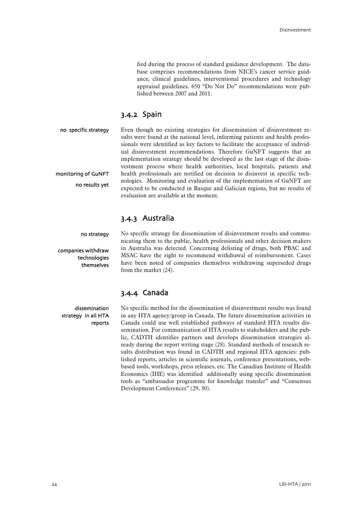fied during the process of standard guidance development. The database comprises recommendations from NICE's cancer service guidance, clinical guidelines, interventional procedures and technology appraisal guidelines. 650 "Do Not Do" recommendations were published between 2007 and 2011.

### 3.4.2 Spain

<span id="page-25-0"></span>Even though no existing strategies for dissemination of disinvestment results were found at the national level, informing patients and health professionals were identified as key factors to facilitate the acceptance of individual disinvestment recommendations. Therefore GuNFT suggests that an implementation strategy should be developed as the last stage of the disinvestment process where health authorities, local hospitals, patients and health professionals are notified on decision to disinvest in specific technologies. Monitoring and evaluation of the implementation of GuNFT are expected to be conducted in Basque and Galician regions, but no results of evaluation are available at the moment. no specific strategy monitoring of GuNFT no results yet

### 3.4.3 Australia

no strategy

<span id="page-25-1"></span>companies withdraw technologies themselves No specific strategy for dissemination of disinvestment results and communicating them to the public, health professionals and other decision makers in Australia was detected. Concerning delisting of drugs, both PBAC and MSAC have the right to recommend withdrawal of reimbursement. Cases have been noted of companies themselves withdrawing superseded drugs from the market [\(24\)](#page-33-5).

### 3.4.4 Canada

<span id="page-25-2"></span>dissemination strategy in all HTA reports

No specific method for the dissemination of disinvestment results was found in any HTA agency/group in Canada. The future dissemination activities in Canada could use well established pathways of standard HTA results dissemination. For communication of HTA results to stakeholders and the public, CADTH identifies partners and develops dissemination strategies already during the report writing stage [\(28\)](#page-33-9). Standard methods of research results distribution was found in CADTH and regional HTA agencies: published reports, articles in scientific journals, conference presentations, webbased tools, workshops, press releases, etc. The Canadian Institute of Health Economics (IHE) was identified additionally using specific dissemination tools as "ambassador programme for knowledge transfer" and "Consensus Development Conferences" ([29](#page-33-10), [30\)](#page-33-11).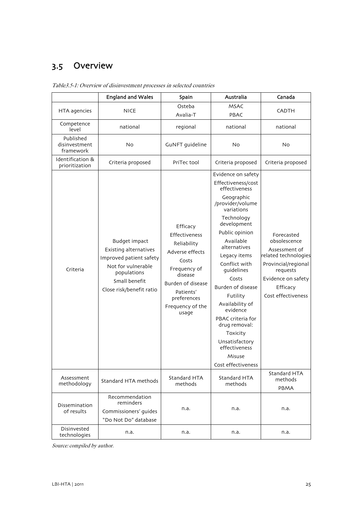# <span id="page-26-0"></span>3.5 Overview

<span id="page-26-1"></span>

|                                         | <b>England and Wales</b>                                                                                                                            | Spain                                                                                                                                                                         | Australia                                                                                                                                                                                                                                                                                                                                                                                                                          | Canada                                                                                                                                                         |
|-----------------------------------------|-----------------------------------------------------------------------------------------------------------------------------------------------------|-------------------------------------------------------------------------------------------------------------------------------------------------------------------------------|------------------------------------------------------------------------------------------------------------------------------------------------------------------------------------------------------------------------------------------------------------------------------------------------------------------------------------------------------------------------------------------------------------------------------------|----------------------------------------------------------------------------------------------------------------------------------------------------------------|
| HTA agencies                            | NICE                                                                                                                                                | Osteba<br>Avalia-T                                                                                                                                                            | <b>MSAC</b><br>PBAC                                                                                                                                                                                                                                                                                                                                                                                                                | <b>CADTH</b>                                                                                                                                                   |
| Competence<br>level                     | national                                                                                                                                            | regional                                                                                                                                                                      | national                                                                                                                                                                                                                                                                                                                                                                                                                           | national                                                                                                                                                       |
| Published<br>disinvestment<br>framework | <b>No</b>                                                                                                                                           | GuNFT guideline                                                                                                                                                               | <b>No</b>                                                                                                                                                                                                                                                                                                                                                                                                                          | <b>No</b>                                                                                                                                                      |
| Identification &<br>prioritization      | Criteria proposed                                                                                                                                   | PriTec tool                                                                                                                                                                   | Criteria proposed                                                                                                                                                                                                                                                                                                                                                                                                                  | Criteria proposed                                                                                                                                              |
| Criteria                                | Budget impact<br>Existing alternatives<br>Improved patient safety<br>Not for vulnerable<br>populations<br>Small benefit<br>Close risk/benefit ratio | Efficacy<br>Effectiveness<br>Reliability<br>Adverse effects<br>Costs<br>Frequency of<br>disease<br>Burden of disease<br>Patients'<br>preferences<br>Frequency of the<br>usage | Evidence on safety<br>Effectiveness/cost<br>effectiveness<br>Geographic<br>/provider/volume<br>variations<br>Technology<br>development<br>Public opinion<br>Available<br>alternatives<br>Legacy items<br>Conflict with<br>guidelines<br>Costs<br>Burden of disease<br>Futility<br>Availability of<br>evidence<br>PBAC criteria for<br>drug removal:<br>Toxicity<br>Unsatisfactory<br>effectiveness<br>Misuse<br>Cost effectiveness | Forecasted<br>obsolescence<br>Assessment of<br>related technologies<br>Provincial/regional<br>requests<br>Evidence on safety<br>Efficacy<br>Cost effectiveness |
| Assessment<br>methodology               | Standard HTA methods                                                                                                                                | Standard HTA<br>methods                                                                                                                                                       | Standard HTA<br>methods                                                                                                                                                                                                                                                                                                                                                                                                            | Standard HTA<br>methods<br>PBMA                                                                                                                                |
| Dissemination<br>of results             | Recommendation<br>reminders<br>Commissioners' guides<br>"Do Not Do" database                                                                        | n.a.                                                                                                                                                                          | n.a.                                                                                                                                                                                                                                                                                                                                                                                                                               | n.a.                                                                                                                                                           |
| Disinvested<br>technologies             | n.a.                                                                                                                                                | n.a.                                                                                                                                                                          | n.a.                                                                                                                                                                                                                                                                                                                                                                                                                               | n.a.                                                                                                                                                           |

Table3.5-1: Overview of disinvestment processes in selected countries

Source: compiled by author.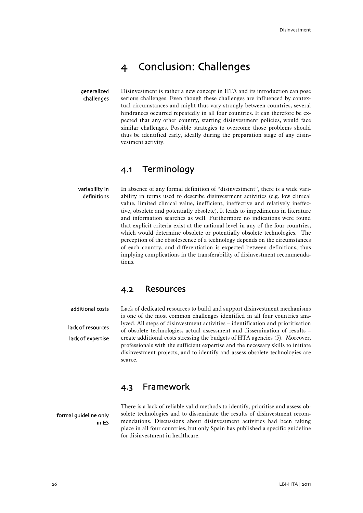# 4 Conclusion: Challenges

<span id="page-27-0"></span>generalized challenges Disinvestment is rather a new concept in HTA and its introduction can pose serious challenges. Even though these challenges are influenced by contextual circumstances and might thus vary strongly between countries, several hindrances occurred repeatedly in all four countries. It can therefore be expected that any other country, starting disinvestment policies, would face similar challenges. Possible strategies to overcome those problems should thus be identified early, ideally during the preparation stage of any disinvestment activity.

### 4.1 Terminology

<span id="page-27-1"></span>In absence of any formal definition of "disinvestment", there is a wide variability in terms used to describe disinvestment activities (e.g. low clinical value, limited clinical value, inefficient, ineffective and relatively ineffective, obsolete and potentially obsolete). It leads to impediments in literature and information searches as well. Furthermore no indications were found that explicit criteria exist at the national level in any of the four countries, which would determine obsolete or potentially obsolete technologies. The perception of the obsolescence of a technology depends on the circumstances of each country, and differentiation is expected between definitions, thus implying complications in the transferability of disinvestment recommendations. variability in definitions

### 4.2 Resources

<span id="page-27-2"></span>additional costs

lack of resources lack of expertise Lack of dedicated resources to build and support disinvestment mechanisms is one of the most common challenges identified in all four countries analyzed. All steps of disinvestment activities – identification and prioritisation of obsolete technologies, actual assessment and dissemination of results – create additional costs stressing the budgets of HTA agencies [\(5](#page-32-4)). Moreover, professionals with the sufficient expertise and the necessary skills to initiate disinvestment projects, and to identify and assess obsolete technologies are scarce.

## 4.3 Framework

<span id="page-27-3"></span>formal guideline only in ES There is a lack of reliable valid methods to identify, prioritise and assess obsolete technologies and to disseminate the results of disinvestment recommendations. Discussions about disinvestment activities had been taking place in all four countries, but only Spain has published a specific guideline for disinvestment in healthcare.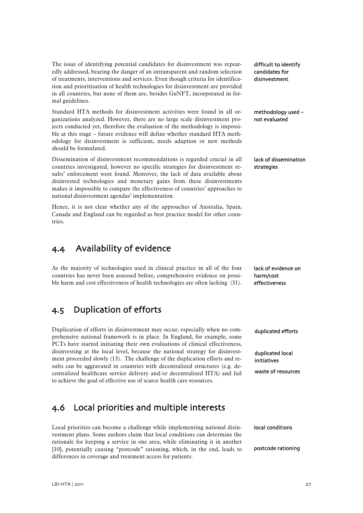The issue of identifying potential candidates for disinvestment was repeatedly addressed, bearing the danger of an intransparent and random selection of treatments, interventions and services. Even though criteria for identification and prioritisation of health technologies for disinvestment are provided in all countries, but none of them are, besides GuNFT, incorporated in formal guidelines.

Standard HTA methods for disinvestment activities were found in all organizations analyzed. However, there are no large scale disinvestment projects conducted yet, therefore the evaluation of the methodology is impossible at this stage – future evidence will define whether standard HTA methodology for disinvestment is sufficient, needs adaption or new methods should be formulated.

Dissemination of disinvestment recommendations is regarded crucial in all countries investigated, however no specific strategies for disinvestment results' enforcement were found. Moreover, the lack of data available about disinvested technologies and monetary gains from these disinvestments makes it impossible to compare the effectiveness of countries' approaches to national disinvestment agendas' implementation.

Hence, it is not clear whether any of the approaches of Australia, Spain, Canada and England can be regarded as best practice model for other countries.

## <span id="page-28-0"></span>4.4 Availability of evidence

As the majority of technologies used in clinical practice in all of the four countries has never been assessed before, comprehensive evidence on possible harm and cost effectiveness of health technologies are often lacking [\(31\)](#page-33-12).

## <span id="page-28-1"></span>4.5 Duplication of efforts

Duplication of efforts in disinvestment may occur, especially when no comprehensive national framework is in place. In England, for example, some PCTs have started initiating their own evaluations of clinical effectiveness, disinvesting at the local level, because the national strategy for disinvestment proceeded slowly ([13](#page-32-12)). The challenge of the duplication efforts and results can be aggravated in countries with decentralized structures (e.g. decentralized healthcare service delivery and/or decentralized HTA) and fail to achieve the goal of effective use of scarce health care resources.

## <span id="page-28-2"></span>4.6 Local priorities and multiple interests

Local priorities can become a challenge while implementing national disinvestment plans. Some authors claim that local conditions can determine the rationale for keeping a service in one area, while eliminating it in another [10], potentially causing "postcode" rationing, which, in the end, leads to differences in coverage and treatment access for patients.

difficult to identify candidates for disinvestment

methodology used – not evaluated

lack of dissemination strategies

lack of evidence on harm/cost effectiveness

duplicated efforts

duplicated local initiatives

waste of resources

local conditions

postcode rationing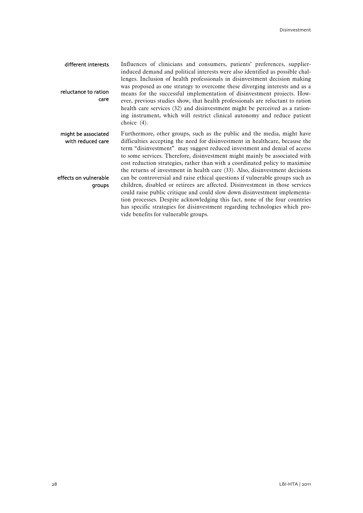| different interests<br>reluctance to ration<br>care | Influences of clinicians and consumers, patients' preferences, supplier-<br>induced demand and political interests were also identified as possible chal-<br>lenges. Inclusion of health professionals in disinvestment decision making<br>was proposed as one strategy to overcome these diverging interests and as a<br>means for the successful implementation of disinvestment projects. How-<br>ever, previous studies show, that health professionals are reluctant to ration<br>health care services (32) and disinvestment might be perceived as a ration-<br>ing instrument, which will restrict clinical autonomy and reduce patient<br>choice $(4)$ . |
|-----------------------------------------------------|------------------------------------------------------------------------------------------------------------------------------------------------------------------------------------------------------------------------------------------------------------------------------------------------------------------------------------------------------------------------------------------------------------------------------------------------------------------------------------------------------------------------------------------------------------------------------------------------------------------------------------------------------------------|
| might be associated<br>with reduced care            | Furthermore, other groups, such as the public and the media, might have<br>difficulties accepting the need for disinvestment in healthcare, because the<br>term "disinvestment" may suggest reduced investment and denial of access<br>to some services. Therefore, disinvestment might mainly be associated with<br>cost reduction strategies, rather than with a coordinated policy to maximise<br>the returns of investment in health care (33). Also, disinvestment decisions                                                                                                                                                                                |
| effects on vulnerable<br>groups                     | can be controversial and raise ethical questions if vulnerable groups such as<br>children, disabled or retirees are affected. Disinvestment in those services<br>could raise public critique and could slow down disinvestment implementa-<br>tion processes. Despite acknowledging this fact, none of the four countries<br>has specific strategies for disinvestment regarding technologies which pro-<br>vide benefits for vulnerable groups.                                                                                                                                                                                                                 |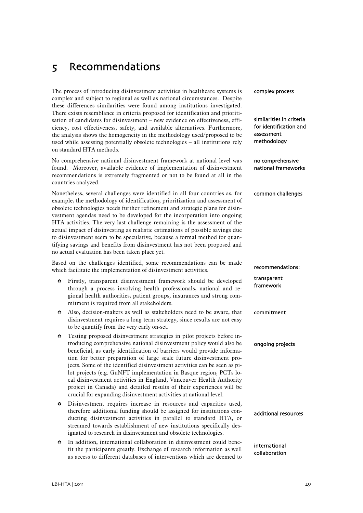# <span id="page-30-0"></span>5 Recommendations

The process of introducing disinvestment activities in healthcare systems is complex and subject to regional as well as national circumstances. Despite these differences similarities were found among institutions investigated. There exists resemblance in criteria proposed for identification and prioritisation of candidates for disinvestment – new evidence on effectiveness, efficiency, cost effectiveness, safety, and available alternatives. Furthermore, the analysis shows the homogeneity in the methodology used/proposed to be used while assessing potentially obsolete technologies – all institutions rely on standard HTA methods.

No comprehensive national disinvestment framework at national level was found. Moreover, available evidence of implementation of disinvestment recommendations is extremely fragmented or not to be found at all in the countries analyzed.

Nonetheless, several challenges were identified in all four countries as, for example, the methodology of identification, prioritization and assessment of obsolete technologies needs further refinement and strategic plans for disinvestment agendas need to be developed for the incorporation into ongoing HTA activities. The very last challenge remaining is the assessment of the actual impact of disinvesting as realistic estimations of possible savings due to disinvestment seem to be speculative, because a formal method for quantifying savings and benefits from disinvestment has not been proposed and no actual evaluation has been taken place yet.

Based on the challenges identified, some recommendations can be made which facilitate the implementation of disinvestment activities.

- Firstly, transparent disinvestment framework should be developed through a process involving health professionals, national and regional health authorities, patient groups, insurances and strong commitment is required from all stakeholders.
- Also, decision-makers as well as stakeholders need to be aware, that disinvestment requires a long term strategy, since results are not easy to be quantify from the very early on-set.
- Testing proposed disinvestment strategies in pilot projects before introducing comprehensive national disinvestment policy would also be beneficial, as early identification of barriers would provide information for better preparation of large scale future disinvestment projects. Some of the identified disinvestment activities can be seen as pilot projects (e.g. GuNFT implementation in Basque region, PCTs local disinvestment activities in England, Vancouver Health Authority project in Canada) and detailed results of their experiences will be crucial for expanding disinvestment activities at national level.
- $\bullet$  Disinvestment requires increase in resources and capacities used, therefore additional funding should be assigned for institutions conducting disinvestment activities in parallel to standard HTA, or streamed towards establishment of new institutions specifically designated to research in disinvestment and obsolete technologies.
- $\bullet$  In addition, international collaboration in disinvestment could benefit the participants greatly. Exchange of research information as well as access to different databases of interventions which are deemed to

complex process similarities in criteria for identification and assessment methodology no comprehensive national frameworks common challenges ongoing projects recommendations: transparent framework commitment additional resources international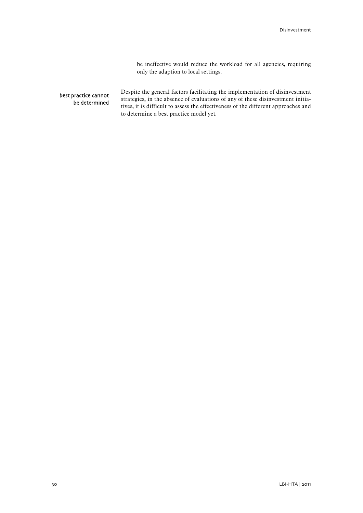be ineffective would reduce the workload for all agencies, requiring only the adaption to local settings.

### best practice cannot be determined

Despite the general factors facilitating the implementation of disinvestment strategies, in the absence of evaluations of any of these disinvestment initiatives, it is difficult to assess the effectiveness of the different approaches and to determine a best practice model yet.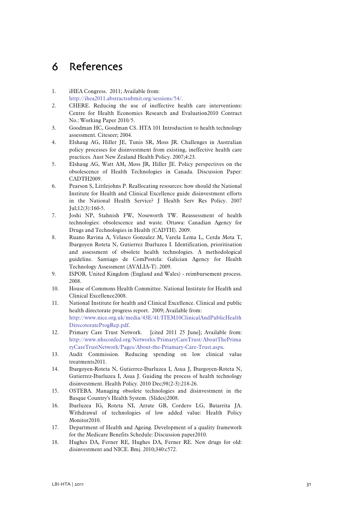# <span id="page-32-0"></span>6 References

- <span id="page-32-1"></span>1. iHEA Congress. 2011; Available from: [http://ihea2011.abstractsubmit.org/sessions/54/.](http://ihea2011.abstractsubmit.org/sessions/54/)
- <span id="page-32-2"></span>2. CHERE. Reducing the use of ineffective health care interventions: Centre for Health Economics Research and Evaluation2010 Contract No.: Working Paper 2010/5.
- 3. Goodman HC, Goodman CS. HTA 101 Introduction to health technology assessment. Citeseer; 2004.
- <span id="page-32-3"></span>4. Elshaug AG, Hiller JE, Tunis SR, Moss JR. Challenges in Australian policy processes for disinvestment from existing, ineffective health care practices. Aust New Zealand Health Policy. 2007;4:23.
- <span id="page-32-4"></span>5. Elshaug AG, Watt AM, Moss JR, Hiller JE. Policy perspectives on the obsolescence of Health Technologies in Canada. Discussion Paper: CADTH2009.
- <span id="page-32-5"></span>6. Pearson S, Littlejohns P. Reallocating resources: how should the National Institute for Health and Clinical Excellence guide disinvestment efforts in the National Health Service? J Health Serv Res Policy. 2007 Jul;12(3):160-5.
- <span id="page-32-6"></span>7. Joshi NP, Stahnish FW, Noseworth TW. Reassessment of health technologies: obsolescence and waste. Ottawa: Canadian Agency for Drugs and Technologies in Health (CADTH). 2009.
- <span id="page-32-7"></span>8. Ruano Ravina A, Velasco Gonzalez M, Varela Lema L, Cerda Mota T, Ibargoyen Roteta N, Gutierrez Ibarluzea I. Identification, prioritisation and assessment of obsolete health technologies. A methodological guideline. Santiago de ComPostela: Galician Agency for Health Technology Assessment (AVALIA-T). 2009.
- <span id="page-32-8"></span>9. ISPOR. United Kingdom (England and Wales) - reimbursement process. 2008.
- <span id="page-32-9"></span>10. House of Commons Health Committee. National Institute for Health and Clinical Excellence2008.
- <span id="page-32-10"></span>11. National Institute for health and Clinical Excellence. Clinical and public health directorate progress report. 2009; Available from: [http://www.nice.org.uk/media/43E/41/ITEM10ClinicalAndPublicHealth](http://www.nice.org.uk/media/43E/41/ITEM10ClinicalAndPublicHealthDirecotorateProgRep.pdf) [DirecotorateProgRep.pdf](http://www.nice.org.uk/media/43E/41/ITEM10ClinicalAndPublicHealthDirecotorateProgRep.pdf).
- <span id="page-32-11"></span>12. Primary Care Trust Network. [cited 2011 25 June]; Available from: [http://www.nhsconfed.org/Networks/PrimaryCareTrust/AboutThePrima](http://www.nhsconfed.org/Networks/PrimaryCareTrust/AboutThePrimaryCareTrustNetwork/Pages/About-the-Priamary-Care-Trust.aspx) [ryCareTrustNetwork/Pages/About-the-Priamary-Care-Trust.aspx](http://www.nhsconfed.org/Networks/PrimaryCareTrust/AboutThePrimaryCareTrustNetwork/Pages/About-the-Priamary-Care-Trust.aspx).
- <span id="page-32-12"></span>13. Audit Commission. Reducing spending on low clinical value treatments2011.
- <span id="page-32-13"></span>14. Ibargoyen-Roteta N, Gutierrez-Ibarluzea I, Asua J, Ibargoyen-Roteta N, Gutierrez-Ibarluzea I, Asua J. Guiding the process of health technology disinvestment. Health Policy. 2010 Dec;98(2-3):218-26.
- <span id="page-32-14"></span>15. OSTEBA. Managing obsolete technologies and disinvestment in the Basque Country's Health System. (Slides)2008.
- <span id="page-32-15"></span>16. Ibarluzea IG, Roteta NI, Arrate GB, Cordero LG, Batarrita JA. Withdrawal of technologies of low added value: Health Policy Monitor2010.
- <span id="page-32-16"></span>17. Department of Health and Ageing. Development of a quality framework for the Medicare Benefits Schedule: Discussion paper2010.
- <span id="page-32-17"></span>18. Hughes DA, Ferner RE, Hughes DA, Ferner RE. New drugs for old: disinvestment and NICE. Bmj. 2010;340:c572.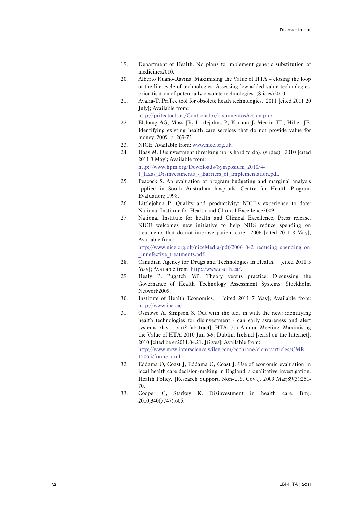- <span id="page-33-0"></span>19. Department of Health. No plans to implement generic substitution of medicines2010.
- <span id="page-33-1"></span>20. Alberto Ruano-Ravina. Maximising the Value of HTA – closing the loop of the life cycle of technologies. Assessing low-added value technologies. prioritisation of potentially obsolete technologies. (Slides)2010.
- <span id="page-33-2"></span>21. Avalia-T. PriTec tool for obsolete heath technologies. 2011 [cited 2011 20 July]; Available from:

[http://pritectools.es/Controlador/documentosAction.php.](http://pritectools.es/Controlador/documentosAction.php)

- <span id="page-33-4"></span><span id="page-33-3"></span>22. Elshaug AG, Moss JR, Littlejohns P, Karnon J, Merlin TL, Hiller JE. Identifying existing health care services that do not provide value for money. 2009. p. 269-73.
- 23. NICE. Available from: [www.nice.org.uk.](http://www.nice.org.uk/)
- <span id="page-33-5"></span>24. Haas M. Disinvestment (breaking up is hard to do). (slides). 2010 [cited 2011 3 May]; Available from: [http://www.hpm.org/Downloads/Symposium\\_2010/4-](http://www.hpm.org/Downloads/Symposium_2010/4-1_Haas_Disinvestments_-_Barriers_of_implementation.pdf) 1 Haas Disinvestments - Barriers of implementation.pdf.
- <span id="page-33-6"></span>25. Peacock S. An evaluation of program budgeting and marginal analysis applied in South Australian hospitals: Centre for Health Program Evaluation; 1998.
- <span id="page-33-7"></span>26. Littlejohns P. Quality and productivity: NICE's experience to date: National Institute for Health and Clinical Excellence2009.
- <span id="page-33-8"></span>27. National Institute for health and Clinical Excellence. Press release. NICE welcomes new initiative to help NHS reduce spending on treatments that do not improve patient care. 2006 [cited 2011 8 May]; Available from:

[http://www.nice.org.uk/niceMedia/pdf/2006\\_042\\_reducing\\_spending\\_on](http://www.nice.org.uk/niceMedia/pdf/2006_042_reducing_spending_on_innefective_treatments.pdf) innefective treatments.pdf.

- <span id="page-33-9"></span>28. Canadian Agency for Drugs and Technologies in Health. [cited 2011 3 May]; Available from: [http://www.cadth.ca/.](http://www.cadth.ca/)
- <span id="page-33-10"></span>29. Healy P, Pugatch MP. Theory versus practice: Discussing the Governance of Health Technology Assessment Systems: Stockholm Network2009.
- <span id="page-33-11"></span>30. Institute of Health Economics. [cited 2011 7 May]; Available from: <http://www.ihe.ca/>.
- <span id="page-33-12"></span>31. Osinowo A, Simpson S. Out with the old, in with the new: identifying health technologies for disinvestment - can early awareness and alert systems play a part? [abstract]. HTAi 7th Annual Meeting: Maximising the Value of HTA; 2010 Jun 6-9; Dublin, Ireland [serial on the Internet]. 2010 [cited be er2011.04.21. JG:yes]: Available from: [http://www.mrw.interscience.wiley.com/cochrane/clcmr/articles/CMR-](http://www.mrw.interscience.wiley.com/cochrane/clcmr/articles/CMR-15065/frame.html)[15065/frame.html](http://www.mrw.interscience.wiley.com/cochrane/clcmr/articles/CMR-15065/frame.html)
- <span id="page-33-13"></span>32. Eddama O, Coast J, Eddama O, Coast J. Use of economic evaluation in local health care decision-making in England: a qualitative investigation. Health Policy. [Research Support, Non-U.S. Gov't]. 2009 Mar;89(3):261- 70.
- <span id="page-33-14"></span>33. Cooper C, Starkey K. Disinvestment in health care. Bmj. 2010;340(7747):605.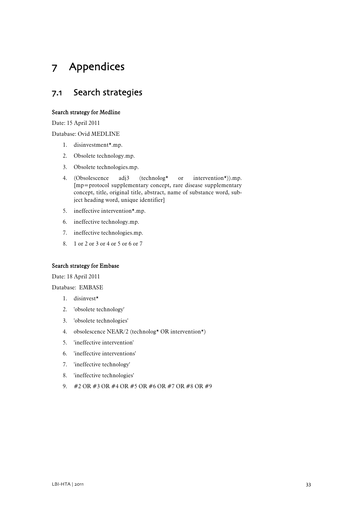# <span id="page-34-0"></span>7 Appendices

## <span id="page-34-1"></span>7.1 Search strategies

#### Search strategy for Medline

Date: 15 April 2011

Database: Ovid MEDLINE

- 1. disinvestment\*.mp.
- 2. Obsolete technology.mp.
- 3. Obsolete technologies.mp.
- 4. (Obsolescence adj3 (technolog\* or intervention\*)).mp. [mp=protocol supplementary concept, rare disease supplementary concept, title, original title, abstract, name of substance word, subject heading word, unique identifier]
- 5. ineffective intervention\*.mp.
- 6. ineffective technology.mp.
- 7. ineffective technologies.mp.
- 8. 1 or 2 or 3 or 4 or 5 or 6 or 7

### Search strategy for Embase

Date: 18 April 2011

Database: EMBASE

- 1. disinvest\*
- 2. 'obsolete technology'
- 3. 'obsolete technologies'
- 4. obsolescence NEAR/2 (technolog\* OR intervention\*)
- 5. 'ineffective intervention'
- 6. 'ineffective interventions'
- 7. 'ineffective technology'
- 8. 'ineffective technologies'
- 9. #2 OR #3 OR #4 OR #5 OR #6 OR #7 OR #8 OR #9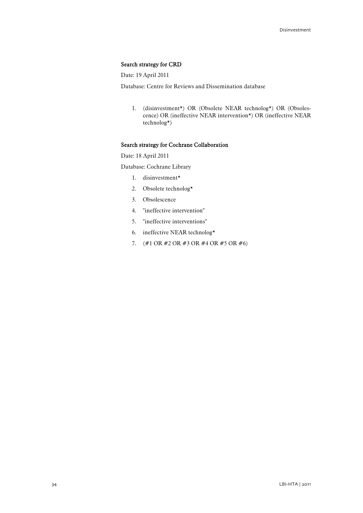#### Search strategy for CRD

Date: 19 April 2011

Database: Centre for Reviews and Dissemination database

1. (disinvestment\*) OR (Obsolete NEAR technolog\*) OR (Obsolescence) OR (ineffective NEAR intervention\*) OR (ineffective NEAR technolog\*)

#### Search strategy for Cochrane Collaboration

Date: 18 April 2011

Database: Cochrane Library

- 1. disinvestment\*
- 2. Obsolete technolog\*
- 3. Obsolescence
- 4. "ineffective intervention"
- 5. "ineffective interventions"
- 6. ineffective NEAR technolog\*
- 7. (#1 OR #2 OR #3 OR #4 OR #5 OR #6)